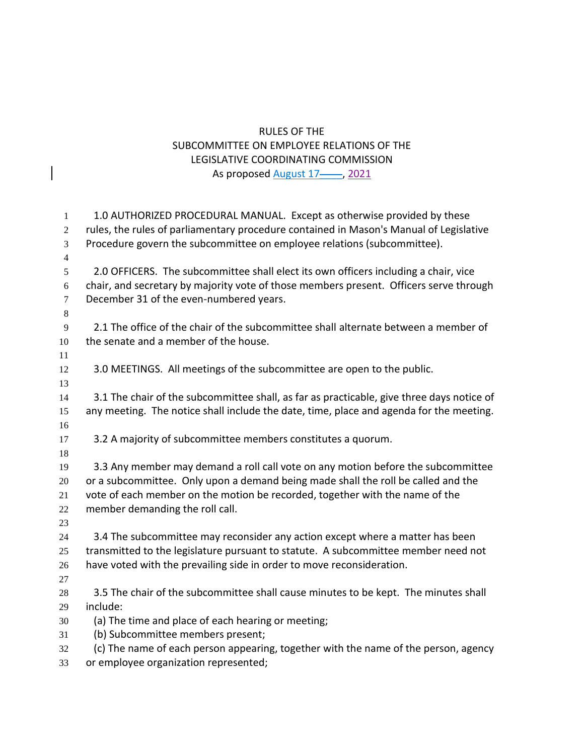## RULES OF THE SUBCOMMITTEE ON EMPLOYEE RELATIONS OF THE LEGISLATIVE COORDINATING COMMISSION As proposed August 17-, 2021

| $\mathbf{1}$     | 1.0 AUTHORIZED PROCEDURAL MANUAL. Except as otherwise provided by these                   |
|------------------|-------------------------------------------------------------------------------------------|
| $\overline{2}$   | rules, the rules of parliamentary procedure contained in Mason's Manual of Legislative    |
| 3                | Procedure govern the subcommittee on employee relations (subcommittee).                   |
| $\overline{4}$   |                                                                                           |
| 5                | 2.0 OFFICERS. The subcommittee shall elect its own officers including a chair, vice       |
| 6                | chair, and secretary by majority vote of those members present. Officers serve through    |
| $\boldsymbol{7}$ | December 31 of the even-numbered years.                                                   |
| $8\,$            |                                                                                           |
| 9                | 2.1 The office of the chair of the subcommittee shall alternate between a member of       |
| 10               | the senate and a member of the house.                                                     |
| 11               |                                                                                           |
| 12               | 3.0 MEETINGS. All meetings of the subcommittee are open to the public.                    |
| 13               |                                                                                           |
| 14               | 3.1 The chair of the subcommittee shall, as far as practicable, give three days notice of |
| 15               | any meeting. The notice shall include the date, time, place and agenda for the meeting.   |
| 16               |                                                                                           |
| 17               | 3.2 A majority of subcommittee members constitutes a quorum.                              |
| 18               |                                                                                           |
| 19               | 3.3 Any member may demand a roll call vote on any motion before the subcommittee          |
| $20\,$           | or a subcommittee. Only upon a demand being made shall the roll be called and the         |
| 21               | vote of each member on the motion be recorded, together with the name of the              |
| 22<br>23         | member demanding the roll call.                                                           |
| 24               | 3.4 The subcommittee may reconsider any action except where a matter has been             |
| 25               | transmitted to the legislature pursuant to statute. A subcommittee member need not        |
| 26               | have voted with the prevailing side in order to move reconsideration.                     |
| 27               |                                                                                           |
| $28\,$           | 3.5 The chair of the subcommittee shall cause minutes to be kept. The minutes shall       |
| 29               | include:                                                                                  |
| 30               | (a) The time and place of each hearing or meeting;                                        |
| 31               | (b) Subcommittee members present;                                                         |
| 32               | (c) The name of each person appearing, together with the name of the person, agency       |
| 33               | or employee organization represented;                                                     |
|                  |                                                                                           |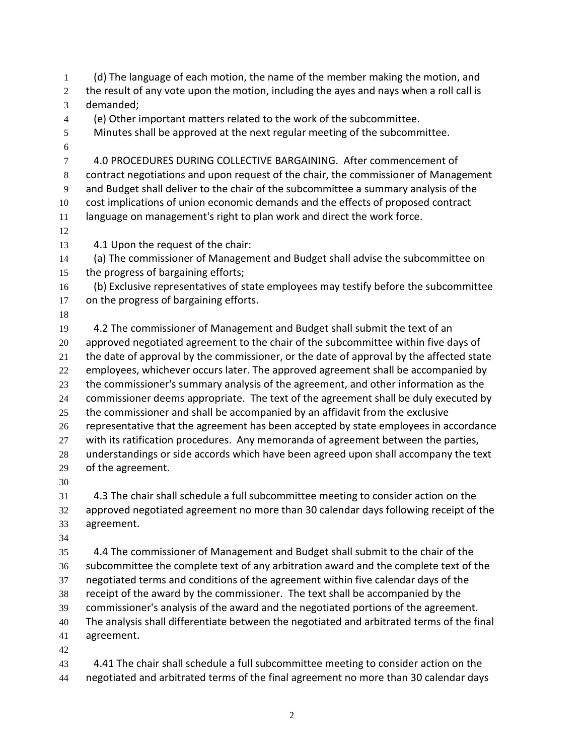(d) The language of each motion, the name of the member making the motion, and 2 the result of any vote upon the motion, including the ayes and nays when a roll call is demanded; (e) Other important matters related to the work of the subcommittee. Minutes shall be approved at the next regular meeting of the subcommittee. 4.0 PROCEDURES DURING COLLECTIVE BARGAINING. After commencement of contract negotiations and upon request of the chair, the commissioner of Management and Budget shall deliver to the chair of the subcommittee a summary analysis of the cost implications of union economic demands and the effects of proposed contract language on management's right to plan work and direct the work force. 4.1 Upon the request of the chair: (a) The commissioner of Management and Budget shall advise the subcommittee on the progress of bargaining efforts; (b) Exclusive representatives of state employees may testify before the subcommittee on the progress of bargaining efforts. 4.2 The commissioner of Management and Budget shall submit the text of an approved negotiated agreement to the chair of the subcommittee within five days of 21 the date of approval by the commissioner, or the date of approval by the affected state employees, whichever occurs later. The approved agreement shall be accompanied by the commissioner's summary analysis of the agreement, and other information as the commissioner deems appropriate. The text of the agreement shall be duly executed by the commissioner and shall be accompanied by an affidavit from the exclusive representative that the agreement has been accepted by state employees in accordance with its ratification procedures. Any memoranda of agreement between the parties, understandings or side accords which have been agreed upon shall accompany the text of the agreement. 4.3 The chair shall schedule a full subcommittee meeting to consider action on the approved negotiated agreement no more than 30 calendar days following receipt of the agreement. 4.4 The commissioner of Management and Budget shall submit to the chair of the subcommittee the complete text of any arbitration award and the complete text of the negotiated terms and conditions of the agreement within five calendar days of the receipt of the award by the commissioner. The text shall be accompanied by the commissioner's analysis of the award and the negotiated portions of the agreement. The analysis shall differentiate between the negotiated and arbitrated terms of the final agreement. 

 4.41 The chair shall schedule a full subcommittee meeting to consider action on the negotiated and arbitrated terms of the final agreement no more than 30 calendar days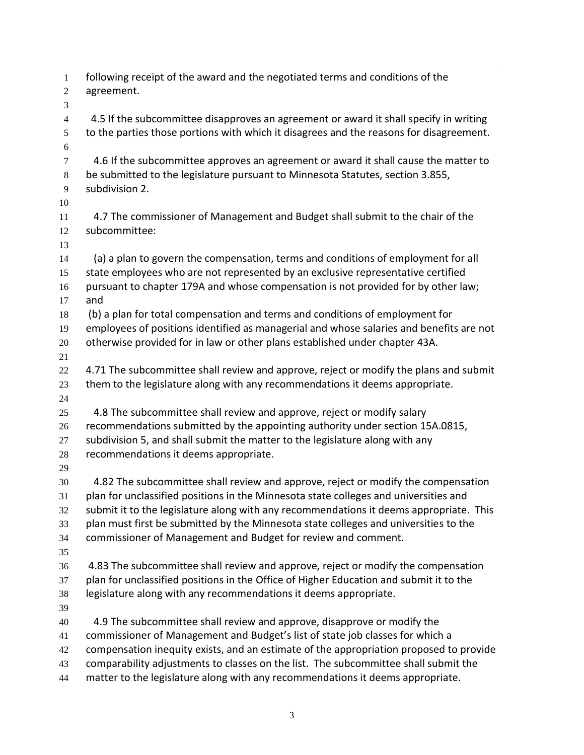| $\mathbf{1}$<br>$\overline{c}$ | following receipt of the award and the negotiated terms and conditions of the<br>agreement.     |
|--------------------------------|-------------------------------------------------------------------------------------------------|
| 3                              |                                                                                                 |
| $\overline{4}$                 | 4.5 If the subcommittee disapproves an agreement or award it shall specify in writing           |
| 5<br>$6\,$                     | to the parties those portions with which it disagrees and the reasons for disagreement.         |
| $\tau$                         | 4.6 If the subcommittee approves an agreement or award it shall cause the matter to             |
| $\,8\,$                        | be submitted to the legislature pursuant to Minnesota Statutes, section 3.855,                  |
| 9                              | subdivision 2.                                                                                  |
| 10                             |                                                                                                 |
| 11<br>12                       | 4.7 The commissioner of Management and Budget shall submit to the chair of the<br>subcommittee: |
| 13                             |                                                                                                 |
| 14                             | (a) a plan to govern the compensation, terms and conditions of employment for all               |
| 15                             | state employees who are not represented by an exclusive representative certified                |
| 16                             | pursuant to chapter 179A and whose compensation is not provided for by other law;               |
| 17                             | and                                                                                             |
| 18                             | (b) a plan for total compensation and terms and conditions of employment for                    |
| 19                             | employees of positions identified as managerial and whose salaries and benefits are not         |
| 20                             | otherwise provided for in law or other plans established under chapter 43A.                     |
| 21                             |                                                                                                 |
| 22                             | 4.71 The subcommittee shall review and approve, reject or modify the plans and submit           |
| 23                             | them to the legislature along with any recommendations it deems appropriate.                    |
| 24                             |                                                                                                 |
| 25                             | 4.8 The subcommittee shall review and approve, reject or modify salary                          |
| 26                             | recommendations submitted by the appointing authority under section 15A.0815,                   |
| 27                             | subdivision 5, and shall submit the matter to the legislature along with any                    |
| 28                             | recommendations it deems appropriate.                                                           |
| 29                             | 4.82 The subcommittee shall review and approve, reject or modify the compensation               |
| 30<br>31                       | plan for unclassified positions in the Minnesota state colleges and universities and            |
| 32                             | submit it to the legislature along with any recommendations it deems appropriate. This          |
| 33                             | plan must first be submitted by the Minnesota state colleges and universities to the            |
| 34                             | commissioner of Management and Budget for review and comment.                                   |
| 35                             |                                                                                                 |
| 36                             | 4.83 The subcommittee shall review and approve, reject or modify the compensation               |
| 37                             | plan for unclassified positions in the Office of Higher Education and submit it to the          |
| 38                             | legislature along with any recommendations it deems appropriate.                                |
| 39                             |                                                                                                 |
| 40                             | 4.9 The subcommittee shall review and approve, disapprove or modify the                         |
| 41                             | commissioner of Management and Budget's list of state job classes for which a                   |
| 42                             | compensation inequity exists, and an estimate of the appropriation proposed to provide          |
| 43                             | comparability adjustments to classes on the list. The subcommittee shall submit the             |
| 44                             | matter to the legislature along with any recommendations it deems appropriate.                  |